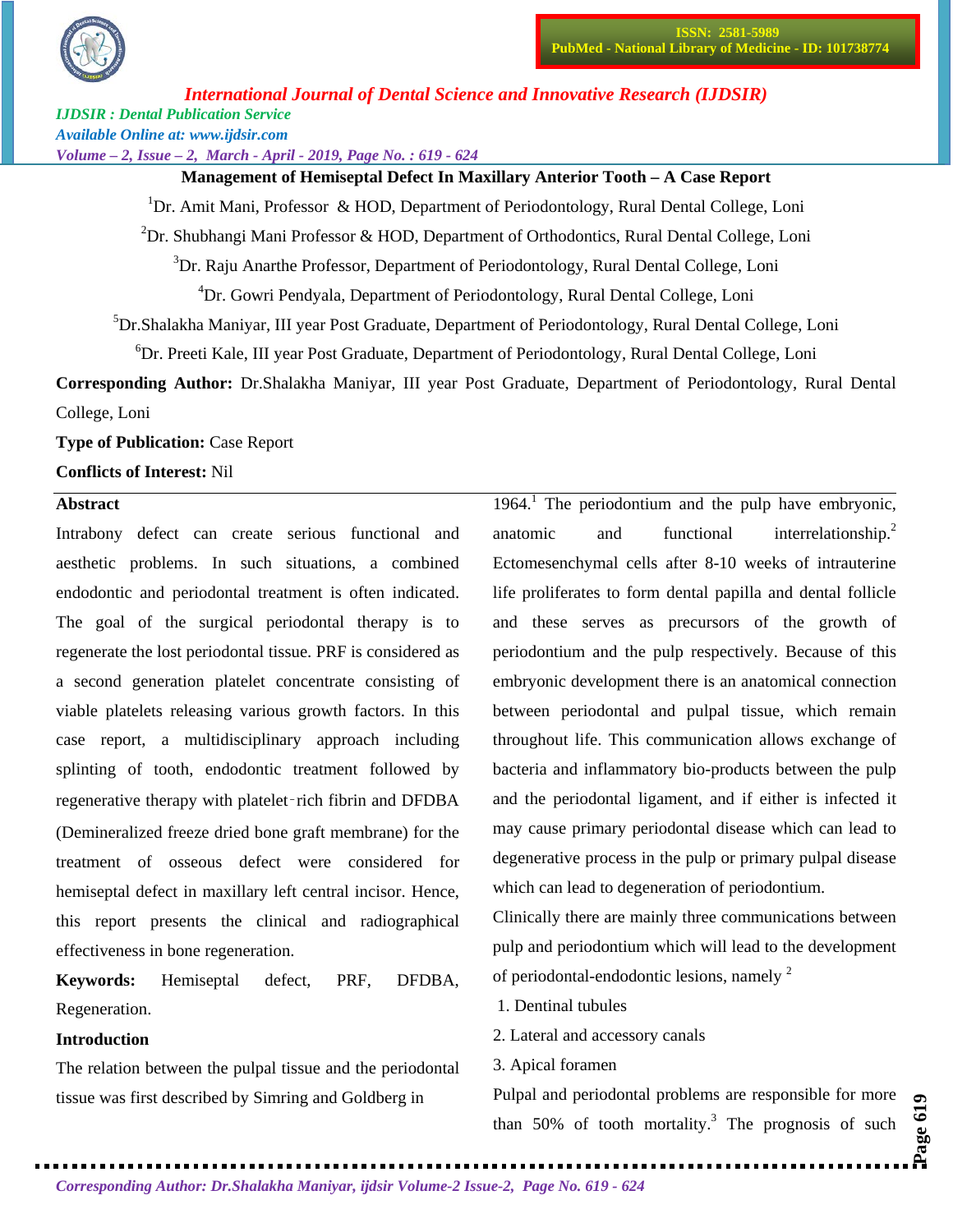

## *International Journal of Dental Science and Innovative Research (IJDSIR)*

*IJDSIR : Dental Publication Service Available Online at: www.ijdsir.com*

*Volume – 2, Issue – 2, March - April - 2019, Page No. : 619 - 624*

## **Management of Hemiseptal Defect In Maxillary Anterior Tooth – A Case Report**

<sup>1</sup>Dr. Amit Mani, Professor & HOD, Department of Periodontology, Rural Dental College, Loni

<sup>2</sup>Dr. Shubhangi Mani Professor & HOD, Department of Orthodontics, Rural Dental College, Loni

<sup>3</sup>Dr. Raju Anarthe Professor, Department of Periodontology, Rural Dental College, Loni

4 Dr. Gowri Pendyala, Department of Periodontology, Rural Dental College, Loni

5 Dr.Shalakha Maniyar, III year Post Graduate, Department of Periodontology, Rural Dental College, Loni

<sup>6</sup>Dr. Preeti Kale, III year Post Graduate, Department of Periodontology, Rural Dental College, Loni

**Corresponding Author:** Dr.Shalakha Maniyar, III year Post Graduate, Department of Periodontology, Rural Dental College, Loni

**Type of Publication:** Case Report

**Conflicts of Interest:** Nil

## **Abstract**

Intrabony defect can create serious functional and aesthetic problems. In such situations, a combined endodontic and periodontal treatment is often indicated. The goal of the surgical periodontal therapy is to regenerate the lost periodontal tissue. PRF is considered as a second generation platelet concentrate consisting of viable platelets releasing various growth factors. In this case report, a multidisciplinary approach including splinting of tooth, endodontic treatment followed by regenerative therapy with platelet‑rich fibrin and DFDBA (Demineralized freeze dried bone graft membrane) for the treatment of osseous defect were considered for hemiseptal defect in maxillary left central incisor. Hence, this report presents the clinical and radiographical effectiveness in bone regeneration.

**Keywords:** Hemiseptal defect, PRF, DFDBA, Regeneration.

### **Introduction**

The relation between the pulpal tissue and the periodontal tissue was first described by Simring and Goldberg in

 $1964<sup>1</sup>$ [.](https://paperpile.com/c/TA1xhT/WurD) The periodontium and the pulp have embryonic, anatomic and functional interrelationship.<sup>2</sup> Ectomesenchymal cells after 8-10 weeks of intrauterine life proliferates to form dental papilla and dental follicle and these serves as precursors of the growth of periodontium and the pulp respectively. Because of this embryonic development there is an anatomical connection between periodontal and pulpal tissue, which remain throughout life. This communication allows exchange of bacteria and inflammatory bio-products between the pulp and the periodontal ligament, and if either is infected it may cause primary periodontal disease which can lead to degenerative process in the pulp or primary pulpal disease which can lead to degeneration of periodontium.

Clinically there are mainly three communications between pulp and periodontium which will lead to the development of periodontal-endodontic lesions, namely [2](https://paperpile.com/c/TA1xhT/ZNP4)

- 1. Dentinal tubules
- 2. Lateral and accessory canals
- 3. Apical foramen

Pulpal and periodontal problems are responsible for more than 50% of tooth mortality.<sup>3</sup> The prognosis of such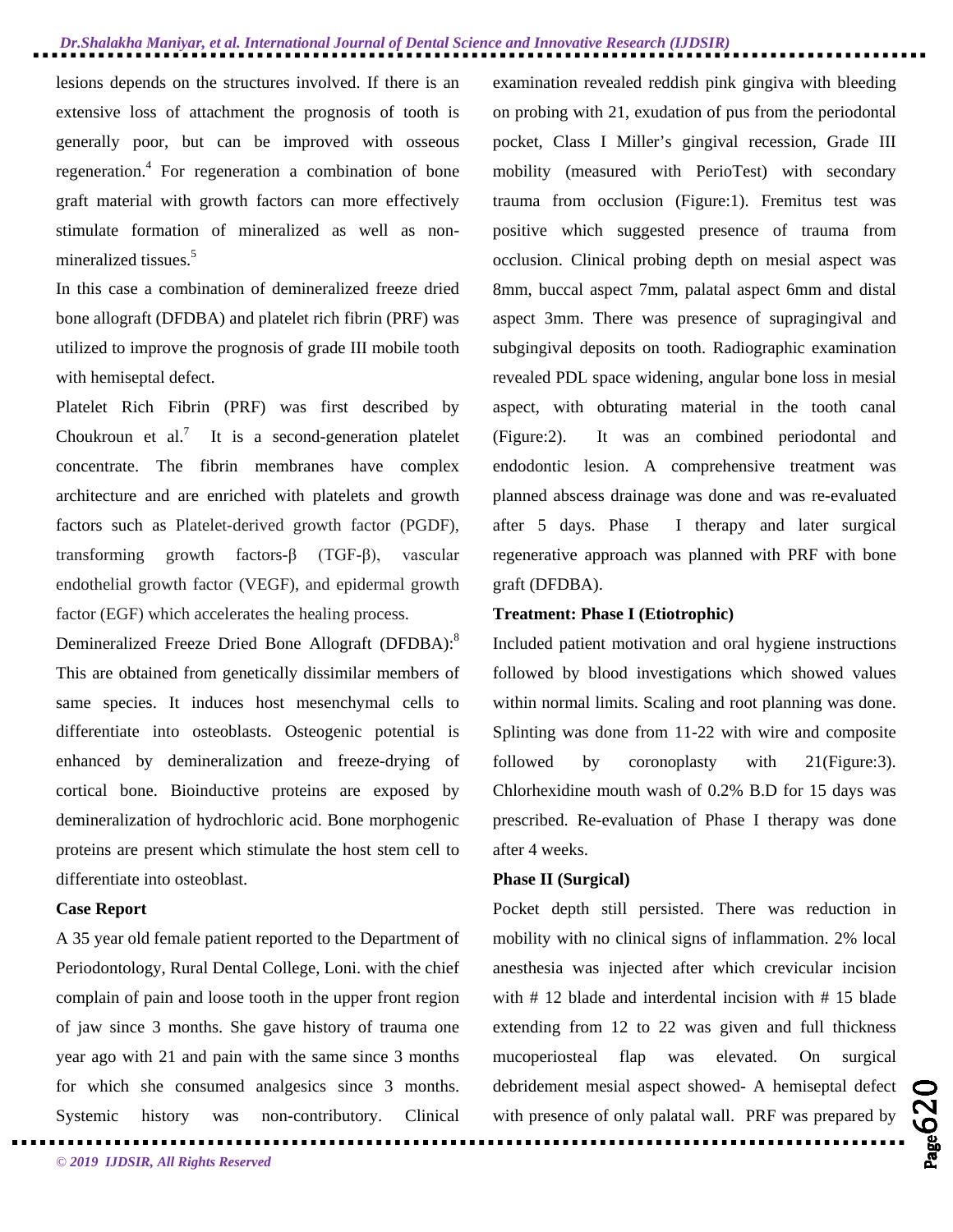## *Dr.Shalakha Maniyar, et al. International Journal of Dental Science and Innovative Research (IJDSIR)*

lesions depends on the structures involved. If there is an extensive loss of attachment the prognosis of tooth is generally poor, but can be improved with osseous regeneration[.4](https://paperpile.com/c/TA1xhT/Oqzg) For regeneration a combination of bone graft material with growth factors can more effectively stimulate formation of mineralized as well as nonmineralized tissues.<sup>5</sup>

In this case a combination of demineralized freeze dried bone allograft (DFDBA) and platelet rich fibrin (PRF) was utilized to improve the prognosis of grade III mobile tooth with hemiseptal defect.

Platelet Rich Fibrin (PRF) was first described by Choukroun et al.<sup>7</sup> It is a second-generation platelet concentrate. The fibrin membranes have complex architecture and are enriched with platelets and growth factors such as Platelet-derived growth factor (PGDF), transforming growth factors-β (TGF-β), vascular endothelial growth factor (VEGF), and epidermal growth factor (EGF) which accelerates the healing process.

Demineralized Freeze Dried Bone Allograft (DFDBA)[:](https://paperpile.com/c/TA1xhT/9yyb)<sup>8</sup> This are obtained from genetically dissimilar members of same species. It induces host mesenchymal cells to differentiate into osteoblasts. Osteogenic potential is enhanced by demineralization and freeze-drying of cortical bone. Bioinductive proteins are exposed by demineralization of hydrochloric acid. Bone morphogenic proteins are present which stimulate the host stem cell to differentiate into osteoblast.

#### **Case Report**

A 35 year old female patient reported to the Department of Periodontology, Rural Dental College, Loni. with the chief complain of pain and loose tooth in the upper front region of jaw since 3 months. She gave history of trauma one year ago with 21 and pain with the same since 3 months for which she consumed analgesics since 3 months. Systemic history was non-contributory. Clinical

*© 2019 IJDSIR, All Rights Reserved*

examination revealed reddish pink gingiva with bleeding on probing with 21, exudation of pus from the periodontal pocket, Class I Miller's gingival recession, Grade III mobility (measured with PerioTest) with secondary trauma from occlusion (Figure:1). Fremitus test was positive which suggested presence of trauma from occlusion. Clinical probing depth on mesial aspect was 8mm, buccal aspect 7mm, palatal aspect 6mm and distal aspect 3mm. There was presence of supragingival and subgingival deposits on tooth. Radiographic examination revealed PDL space widening, angular bone loss in mesial aspect, with obturating material in the tooth canal (Figure:2). It was an combined periodontal and endodontic lesion. A comprehensive treatment was planned abscess drainage was done and was re-evaluated after 5 days. Phase I therapy and later surgical regenerative approach was planned with PRF with bone graft (DFDBA).

## **Treatment: Phase I (Etiotrophic)**

Included patient motivation and oral hygiene instructions followed by blood investigations which showed values within normal limits. Scaling and root planning was done. Splinting was done from 11-22 with wire and composite followed by coronoplasty with 21(Figure:3). Chlorhexidine mouth wash of 0.2% B.D for 15 days was prescribed. Re-evaluation of Phase I therapy was done after 4 weeks.

#### **Phase II (Surgical)**

Pocket depth still persisted. There was reduction in mobility with no clinical signs of inflammation. 2% local anesthesia was injected after which crevicular incision with # 12 blade and interdental incision with # 15 blade extending from 12 to 22 was given and full thickness mucoperiosteal flap was elevated. On surgical debridement mesial aspect showed- A hemiseptal defect with presence of only palatal wall. PRF was prepared by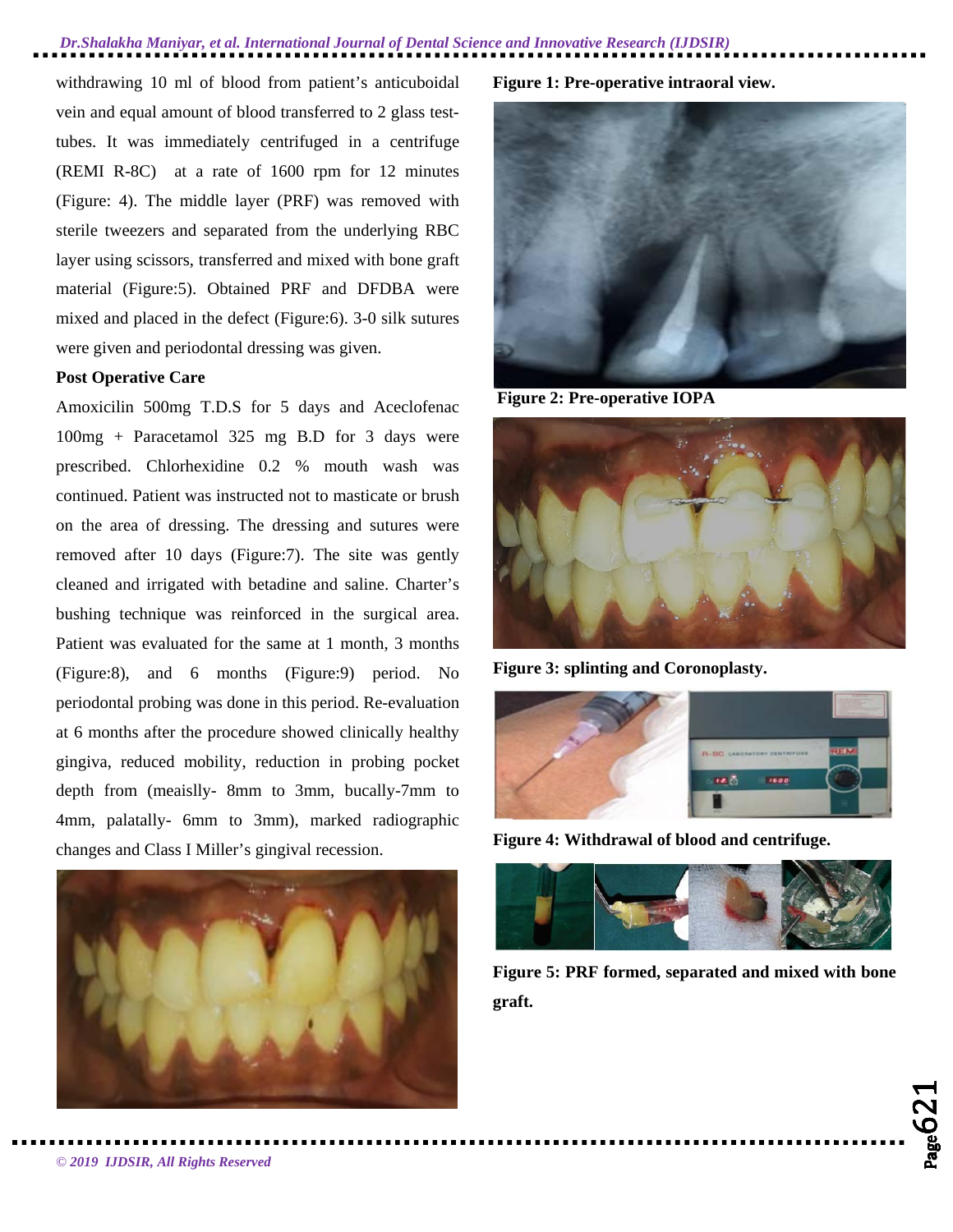# *Dr.Shalakha Maniyar, et al. International Journal of Dental Science and Innovative Research (IJDSIR)*

withdrawing 10 ml of blood from patient's anticuboidal vein and equal amount of blood transferred to 2 glass testtubes. It was immediately centrifuged in a centrifuge (REMI R-8C) at a rate of 1600 rpm for 12 minutes (Figure: 4). The middle layer (PRF) was removed with sterile tweezers and separated from the underlying RBC layer using scissors, transferred and mixed with bone graft material (Figure:5). Obtained PRF and DFDBA were mixed and placed in the defect (Figure:6). 3-0 silk sutures were given and periodontal dressing was given.

## **Post Operative Care**

Amoxicilin 500mg T.D.S for 5 days and Aceclofenac 100mg + Paracetamol 325 mg B.D for 3 days were prescribed. Chlorhexidine 0.2 % mouth wash was continued. Patient was instructed not to masticate or brush on the area of dressing. The dressing and sutures were removed after 10 days (Figure:7). The site was gently cleaned and irrigated with betadine and saline. Charter's bushing technique was reinforced in the surgical area. Patient was evaluated for the same at 1 month, 3 months (Figure:8), and 6 months (Figure:9) period. No periodontal probing was done in this period. Re-evaluation at 6 months after the procedure showed clinically healthy gingiva, reduced mobility, reduction in probing pocket depth from (meaislly- 8mm to 3mm, bucally-7mm to 4mm, palatally- 6mm to 3mm), marked radiographic changes and Class I Miller's gingival recession.



#### **Figure 1: Pre-operative intraoral view.**



**Figure 2: Pre-operative IOPA**



**Figure 3: splinting and Coronoplasty.** 



**Figure 4: Withdrawal of blood and centrifuge.** 



**Figure 5: PRF formed, separated and mixed with bone graft.**

Page621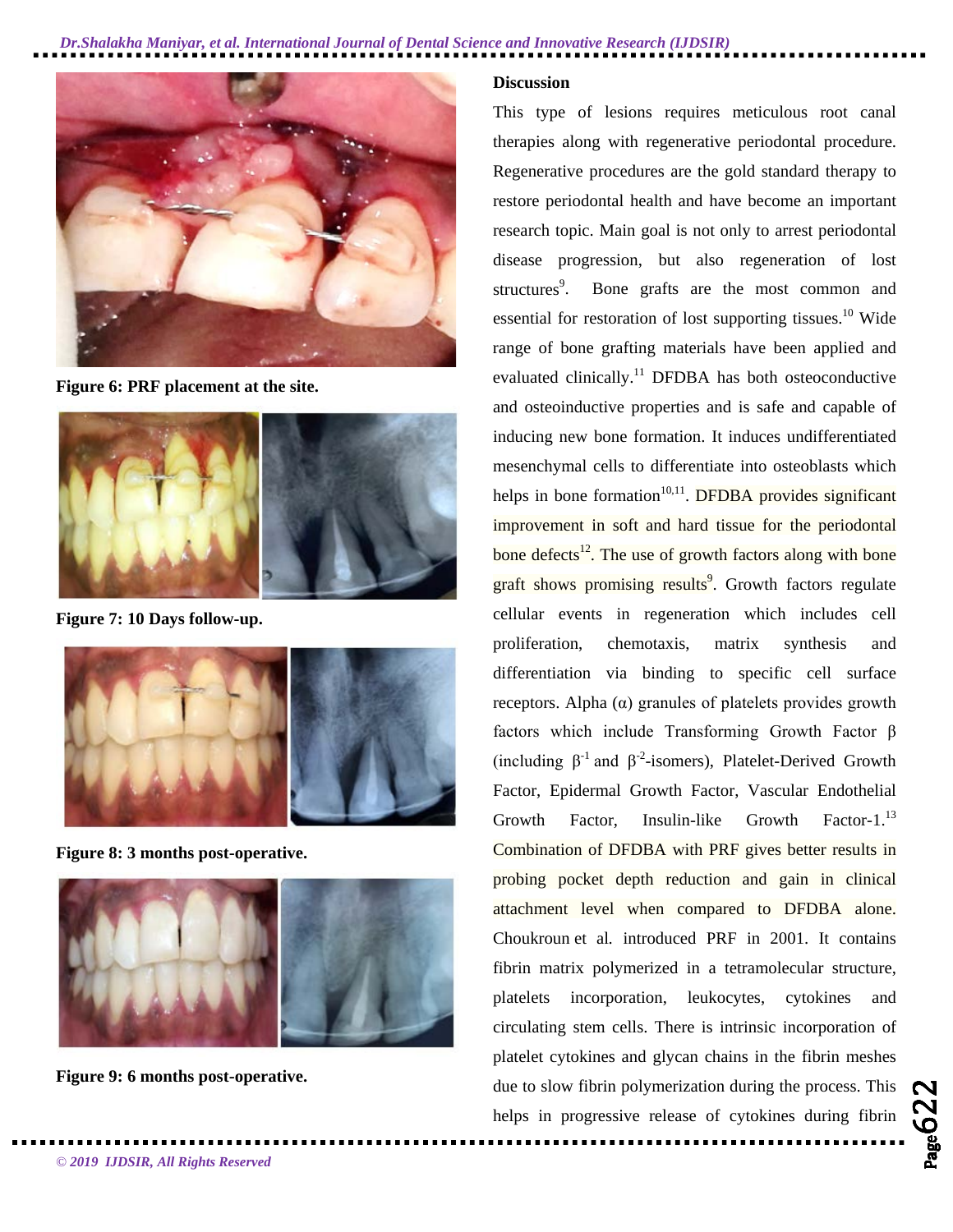*Dr.Shalakha Maniyar, et al. International Journal of Dental Science and Innovative Research (IJDSIR)*



**Figure 6: PRF placement at the site.**



**Figure 7: 10 Days follow-up.**



**Figure 8: 3 months post-operative.**



**Figure 9: 6 months post-operative.**

## **Discussion**

This type of lesions requires meticulous root canal therapies along with regenerative periodontal procedure. Regenerative procedures are the gold standard therapy to restore periodontal health and have become an important research topic. Main goal is not only to arrest periodontal disease progression, but also regeneration of lost structures<sup>9</sup>. . Bone grafts are the most common and essential for restoration of lost supporting tissues.<sup>10</sup> Wide range of bone grafting materials have been applied and evaluated clinically.<sup>11</sup> DFDBA has both osteoconductive and osteoinductive properties and is safe and capable of inducing new bone formation. It induces undifferentiated mesenchymal cells to differentiate into osteoblasts which helps in bone formation $10,11$ . DFDBA provides significant improvement in soft and hard tissue for the periodontal bone defects<sup>12</sup>. The use of growth factors along with bone graft shows promising results<sup>9</sup>. Growth factors regulate cellular events in regeneration which includes cell proliferation, chemotaxis, matrix synthesis and differentiation via binding to specific cell surface receptors. Alpha (α) granules of platelets provides growth factors which include Transforming Growth Factor β (including  $\beta^{-1}$  and  $\beta^{-2}$ -isomers), Platelet-Derived Growth Factor, Epidermal Growth Factor, Vascular Endothelial Growth Factor, Insulin-like Growth Factor-1.<sup>13</sup> Combination of DFDBA with PRF gives better results in probing pocket depth reduction and gain in clinical attachment level when compared to DFDBA alone. Choukroun et al*.* introduced PRF in 2001. It contains fibrin matrix polymerized in a tetramolecular structure, platelets incorporation, leukocytes, cytokines and circulating stem cells. There is intrinsic incorporation of platelet cytokines and glycan chains in the fibrin meshes due to slow fibrin polymerization during the process. This helps in progressive release of cytokines during fibrin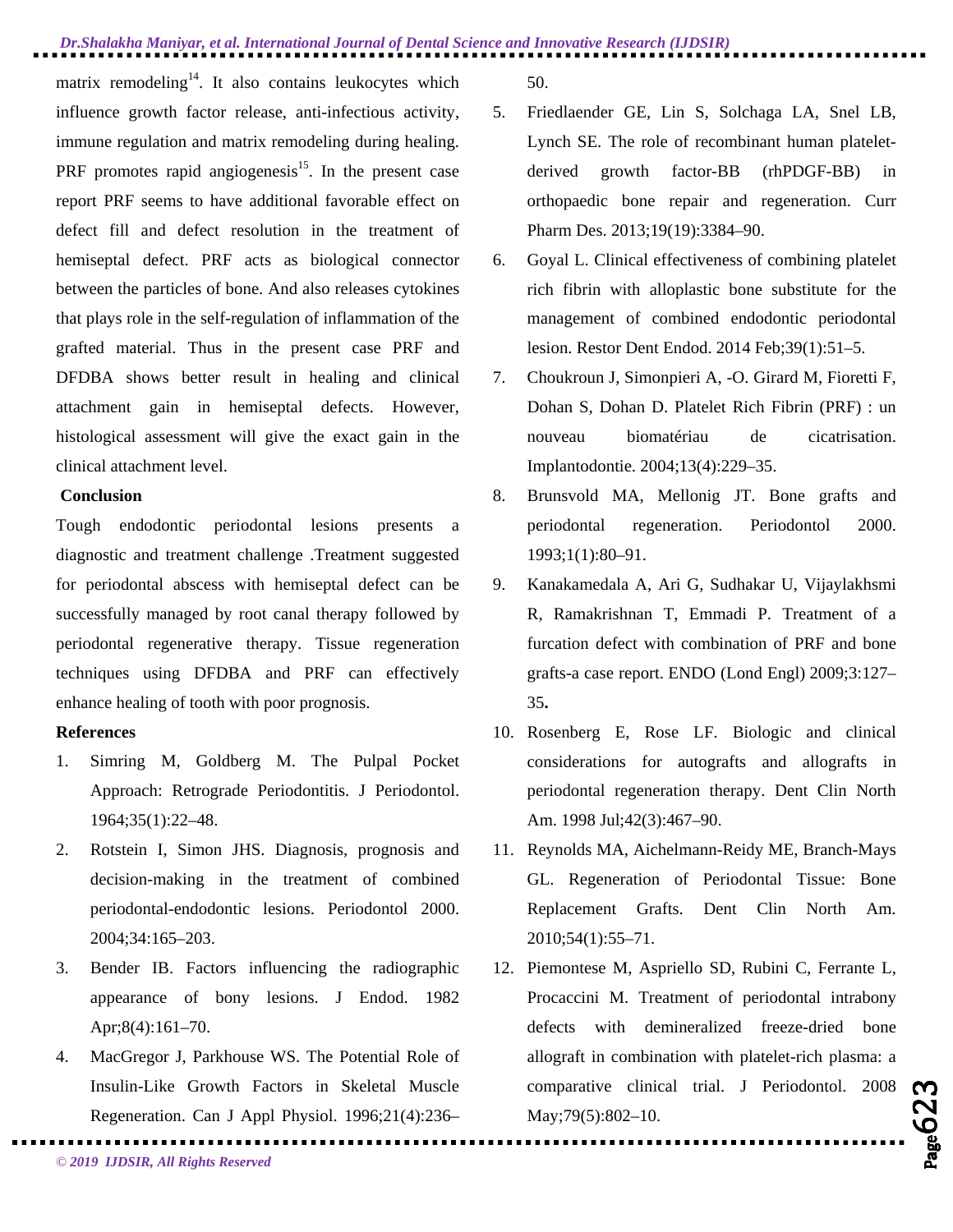matrix remodeling<sup>14</sup>. It also contains leukocytes which influence growth factor release, anti-infectious activity, immune regulation and matrix remodeling during healing. PRF promotes rapid angiogenesis<sup>15</sup>. In the present case report PRF seems to have additional favorable effect on defect fill and defect resolution in the treatment of hemiseptal defect. PRF acts as biological connector between the particles of bone. And also releases cytokines that plays role in the self-regulation of inflammation of the grafted material. Thus in the present case PRF and DFDBA shows better result in healing and clinical attachment gain in hemiseptal defects. However, histological assessment will give the exact gain in the clinical attachment level.

## **Conclusion**

Tough endodontic periodontal lesions presents a diagnostic and treatment challenge .Treatment suggested for periodontal abscess with hemiseptal defect can be successfully managed by root canal therapy followed by periodontal regenerative therapy. Tissue regeneration techniques using DFDBA and PRF can effectively enhance healing of tooth with poor prognosis.

## **References**

- 1. [Simring M, Goldberg M. The Pulpal Pocket](http://paperpile.com/b/TA1xhT/WurD)  Approach: Retrograde Periodontitis. J Periodontol. [1964;35\(1\):22–48.](http://paperpile.com/b/TA1xhT/WurD)
- 2. [Rotstein I, Simon JHS. Diagnosis, prognosis and](http://paperpile.com/b/TA1xhT/ZNP4)  [decision-making in the treatment of combined](http://paperpile.com/b/TA1xhT/ZNP4)  [periodontal-endodontic lesions. Periodontol 2000.](http://paperpile.com/b/TA1xhT/ZNP4)  [2004;34:165–203.](http://paperpile.com/b/TA1xhT/ZNP4)
- 3. [Bender IB. Factors influencing the radiographic](http://paperpile.com/b/TA1xhT/mHGJ)  [appearance of bony lesions. J Endod. 1982](http://paperpile.com/b/TA1xhT/mHGJ)  [Apr;8\(4\):161–70.](http://paperpile.com/b/TA1xhT/mHGJ)
- 4. [MacGregor J, Parkhouse WS. The Potential Role of](http://paperpile.com/b/TA1xhT/Oqzg)  [Insulin-Like Growth Factors in Skeletal Muscle](http://paperpile.com/b/TA1xhT/Oqzg)  [Regeneration. Can J Appl Physiol. 1996;21\(4\):236–](http://paperpile.com/b/TA1xhT/Oqzg)

[50.](http://paperpile.com/b/TA1xhT/Oqzg)

- 5. [Friedlaender GE, Lin S, Solchaga LA, Snel LB,](http://paperpile.com/b/TA1xhT/qCvp)  [Lynch SE. The role of recombinant human platelet](http://paperpile.com/b/TA1xhT/qCvp)[derived growth factor-BB \(rhPDGF-BB\) in](http://paperpile.com/b/TA1xhT/qCvp)  [orthopaedic bone repair and regeneration. Curr](http://paperpile.com/b/TA1xhT/qCvp)  [Pharm Des. 2013;19\(19\):3384–90.](http://paperpile.com/b/TA1xhT/qCvp)
- 6. [Goyal L. Clinical effectiveness of combining platelet](http://paperpile.com/b/TA1xhT/qOV6)  [rich fibrin with alloplastic bone substitute for the](http://paperpile.com/b/TA1xhT/qOV6)  [management of combined endodontic periodontal](http://paperpile.com/b/TA1xhT/qOV6)  lesion. Restor Dent [Endod. 2014 Feb;39\(1\):51–5.](http://paperpile.com/b/TA1xhT/qOV6)
- 7. [Choukroun J, Simonpieri A, -O. Girard M, Fioretti F,](http://paperpile.com/b/TA1xhT/Exi0)  [Dohan S, Dohan D. Platelet Rich Fibrin \(PRF\) : un](http://paperpile.com/b/TA1xhT/Exi0)  [nouveau biomatériau de cicatrisation.](http://paperpile.com/b/TA1xhT/Exi0)  [Implantodontie. 2004;13\(4\):229–35.](http://paperpile.com/b/TA1xhT/Exi0)
- 8. [Brunsvold MA, Mellonig JT. Bone grafts and](http://paperpile.com/b/TA1xhT/9yyb)  [periodontal regeneration. Periodontol 2000.](http://paperpile.com/b/TA1xhT/9yyb)  [1993;1\(1\):80–91.](http://paperpile.com/b/TA1xhT/9yyb)
- 9. Kanakamedala A, Ari G, Sudhakar U, Vijaylakhsmi R, Ramakrishnan T, Emmadi P. Treatment of a furcation defect with combination of PRF and bone grafts-a case report. ENDO (Lond Engl) 2009;3:127– 35**.**
- 10. [Rosenberg E, Rose LF. Biologic and clinical](http://paperpile.com/b/TA1xhT/3RCE)  [considerations for autografts and allografts in](http://paperpile.com/b/TA1xhT/3RCE)  [periodontal regeneration therapy. Dent Clin North](http://paperpile.com/b/TA1xhT/3RCE)  [Am. 1998 Jul;42\(3\):467–90.](http://paperpile.com/b/TA1xhT/3RCE)
- 11. [Reynolds MA, Aichelmann-Reidy ME, Branch-Mays](http://paperpile.com/b/TA1xhT/iD49)  [GL. Regeneration of Periodontal Tissue: Bone](http://paperpile.com/b/TA1xhT/iD49)  [Replacement Grafts. Dent Clin](http://paperpile.com/b/TA1xhT/iD49) North Am. [2010;54\(1\):55–71.](http://paperpile.com/b/TA1xhT/iD49)
- 12. [Piemontese M, Aspriello SD, Rubini C, Ferrante L,](http://paperpile.com/b/TA1xhT/Ihnt)  [Procaccini M. Treatment of periodontal intrabony](http://paperpile.com/b/TA1xhT/Ihnt)  [defects with demineralized freeze-dried bone](http://paperpile.com/b/TA1xhT/Ihnt)  [allograft in combination with platelet-rich plasma: a](http://paperpile.com/b/TA1xhT/Ihnt)  [comparative clinical trial. J Periodontol. 2008](http://paperpile.com/b/TA1xhT/Ihnt)  [May;79\(5\):802–10.](http://paperpile.com/b/TA1xhT/Ihnt)